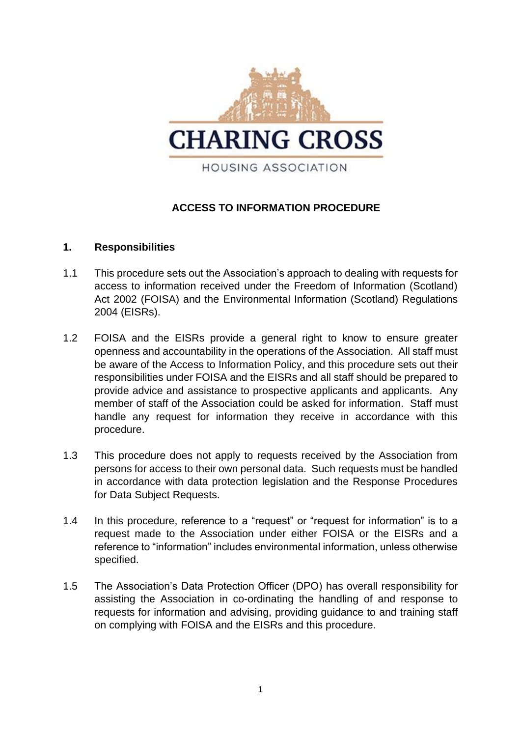

# **ACCESS TO INFORMATION PROCEDURE**

### **1. Responsibilities**

- 1.1 This procedure sets out the Association's approach to dealing with requests for access to information received under the Freedom of Information (Scotland) Act 2002 (FOISA) and the Environmental Information (Scotland) Regulations 2004 (EISRs).
- 1.2 FOISA and the EISRs provide a general right to know to ensure greater openness and accountability in the operations of the Association. All staff must be aware of the Access to Information Policy, and this procedure sets out their responsibilities under FOISA and the EISRs and all staff should be prepared to provide advice and assistance to prospective applicants and applicants. Any member of staff of the Association could be asked for information. Staff must handle any request for information they receive in accordance with this procedure.
- 1.3 This procedure does not apply to requests received by the Association from persons for access to their own personal data. Such requests must be handled in accordance with data protection legislation and the Response Procedures for Data Subject Requests.
- 1.4 In this procedure, reference to a "request" or "request for information" is to a request made to the Association under either FOISA or the EISRs and a reference to "information" includes environmental information, unless otherwise specified.
- 1.5 The Association's Data Protection Officer (DPO) has overall responsibility for assisting the Association in co-ordinating the handling of and response to requests for information and advising, providing guidance to and training staff on complying with FOISA and the EISRs and this procedure.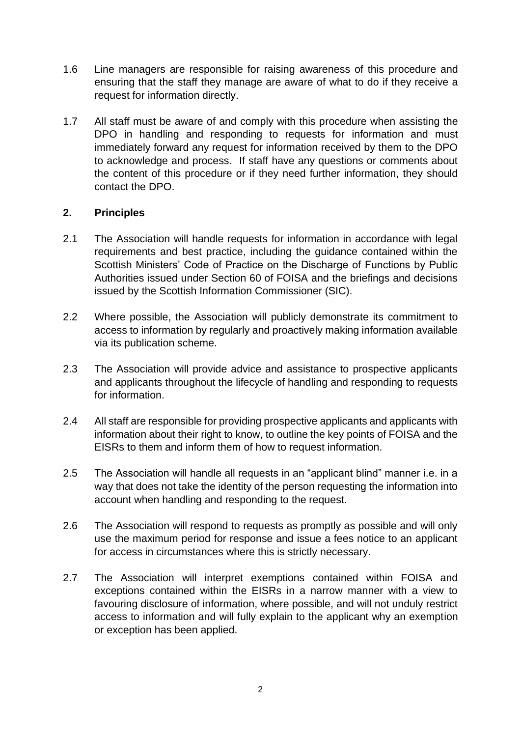- 1.6 Line managers are responsible for raising awareness of this procedure and ensuring that the staff they manage are aware of what to do if they receive a request for information directly.
- 1.7 All staff must be aware of and comply with this procedure when assisting the DPO in handling and responding to requests for information and must immediately forward any request for information received by them to the DPO to acknowledge and process. If staff have any questions or comments about the content of this procedure or if they need further information, they should contact the DPO.

# **2. Principles**

- 2.1 The Association will handle requests for information in accordance with legal requirements and best practice, including the guidance contained within the Scottish Ministers' Code of Practice on the Discharge of Functions by Public Authorities issued under Section 60 of FOISA and the briefings and decisions issued by the Scottish Information Commissioner (SIC).
- 2.2 Where possible, the Association will publicly demonstrate its commitment to access to information by regularly and proactively making information available via its publication scheme.
- 2.3 The Association will provide advice and assistance to prospective applicants and applicants throughout the lifecycle of handling and responding to requests for information.
- 2.4 All staff are responsible for providing prospective applicants and applicants with information about their right to know, to outline the key points of FOISA and the EISRs to them and inform them of how to request information.
- 2.5 The Association will handle all requests in an "applicant blind" manner i.e. in a way that does not take the identity of the person requesting the information into account when handling and responding to the request.
- 2.6 The Association will respond to requests as promptly as possible and will only use the maximum period for response and issue a fees notice to an applicant for access in circumstances where this is strictly necessary.
- 2.7 The Association will interpret exemptions contained within FOISA and exceptions contained within the EISRs in a narrow manner with a view to favouring disclosure of information, where possible, and will not unduly restrict access to information and will fully explain to the applicant why an exemption or exception has been applied.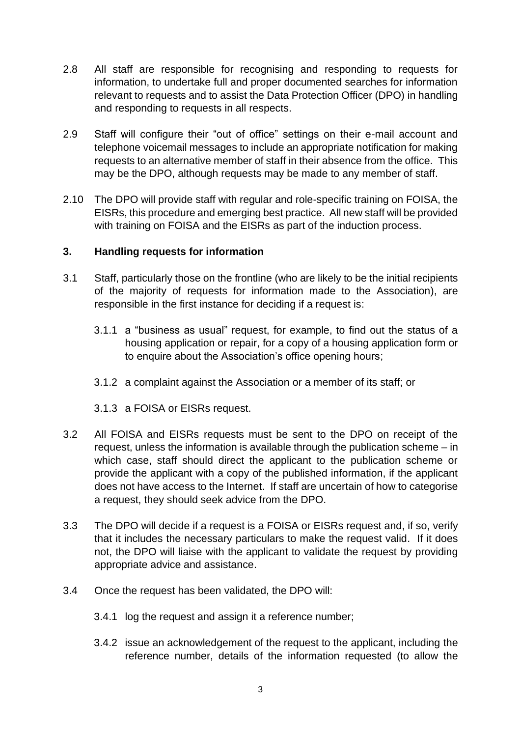- 2.8 All staff are responsible for recognising and responding to requests for information, to undertake full and proper documented searches for information relevant to requests and to assist the Data Protection Officer (DPO) in handling and responding to requests in all respects.
- 2.9 Staff will configure their "out of office" settings on their e-mail account and telephone voicemail messages to include an appropriate notification for making requests to an alternative member of staff in their absence from the office. This may be the DPO, although requests may be made to any member of staff.
- 2.10 The DPO will provide staff with regular and role-specific training on FOISA, the EISRs, this procedure and emerging best practice. All new staff will be provided with training on FOISA and the EISRs as part of the induction process.

## **3. Handling requests for information**

- 3.1 Staff, particularly those on the frontline (who are likely to be the initial recipients of the majority of requests for information made to the Association), are responsible in the first instance for deciding if a request is:
	- 3.1.1 a "business as usual" request, for example, to find out the status of a housing application or repair, for a copy of a housing application form or to enquire about the Association's office opening hours;
	- 3.1.2 a complaint against the Association or a member of its staff; or
	- 3.1.3 a FOISA or EISRs request.
- 3.2 All FOISA and EISRs requests must be sent to the DPO on receipt of the request, unless the information is available through the publication scheme – in which case, staff should direct the applicant to the publication scheme or provide the applicant with a copy of the published information, if the applicant does not have access to the Internet. If staff are uncertain of how to categorise a request, they should seek advice from the DPO.
- 3.3 The DPO will decide if a request is a FOISA or EISRs request and, if so, verify that it includes the necessary particulars to make the request valid. If it does not, the DPO will liaise with the applicant to validate the request by providing appropriate advice and assistance.
- 3.4 Once the request has been validated, the DPO will:
	- 3.4.1 log the request and assign it a reference number;
	- 3.4.2 issue an acknowledgement of the request to the applicant, including the reference number, details of the information requested (to allow the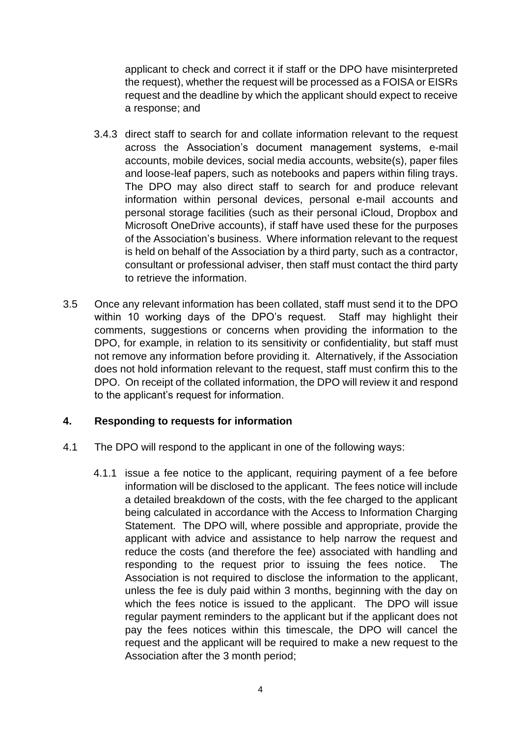applicant to check and correct it if staff or the DPO have misinterpreted the request), whether the request will be processed as a FOISA or EISRs request and the deadline by which the applicant should expect to receive a response; and

- 3.4.3 direct staff to search for and collate information relevant to the request across the Association's document management systems, e-mail accounts, mobile devices, social media accounts, website(s), paper files and loose-leaf papers, such as notebooks and papers within filing trays. The DPO may also direct staff to search for and produce relevant information within personal devices, personal e-mail accounts and personal storage facilities (such as their personal iCloud, Dropbox and Microsoft OneDrive accounts), if staff have used these for the purposes of the Association's business. Where information relevant to the request is held on behalf of the Association by a third party, such as a contractor, consultant or professional adviser, then staff must contact the third party to retrieve the information.
- 3.5 Once any relevant information has been collated, staff must send it to the DPO within 10 working days of the DPO's request. Staff may highlight their comments, suggestions or concerns when providing the information to the DPO, for example, in relation to its sensitivity or confidentiality, but staff must not remove any information before providing it. Alternatively, if the Association does not hold information relevant to the request, staff must confirm this to the DPO. On receipt of the collated information, the DPO will review it and respond to the applicant's request for information.

# **4. Responding to requests for information**

- 4.1 The DPO will respond to the applicant in one of the following ways:
	- 4.1.1 issue a fee notice to the applicant, requiring payment of a fee before information will be disclosed to the applicant. The fees notice will include a detailed breakdown of the costs, with the fee charged to the applicant being calculated in accordance with the Access to Information Charging Statement. The DPO will, where possible and appropriate, provide the applicant with advice and assistance to help narrow the request and reduce the costs (and therefore the fee) associated with handling and responding to the request prior to issuing the fees notice. The Association is not required to disclose the information to the applicant, unless the fee is duly paid within 3 months, beginning with the day on which the fees notice is issued to the applicant. The DPO will issue regular payment reminders to the applicant but if the applicant does not pay the fees notices within this timescale, the DPO will cancel the request and the applicant will be required to make a new request to the Association after the 3 month period;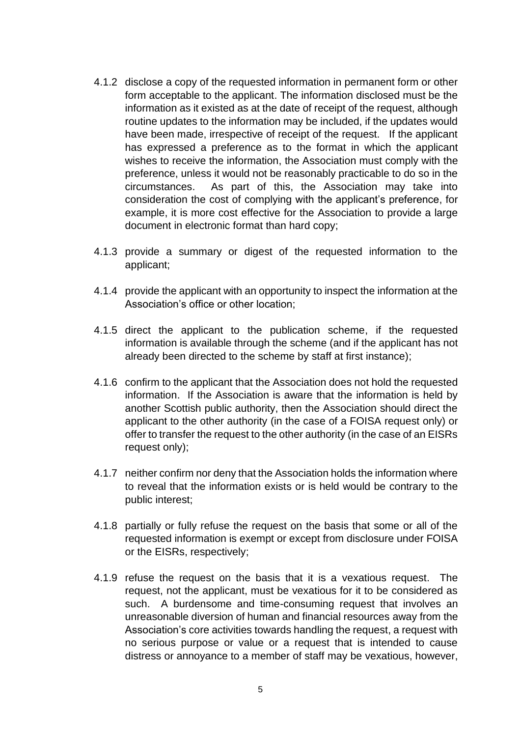- 4.1.2 disclose a copy of the requested information in permanent form or other form acceptable to the applicant. The information disclosed must be the information as it existed as at the date of receipt of the request, although routine updates to the information may be included, if the updates would have been made, irrespective of receipt of the request. If the applicant has expressed a preference as to the format in which the applicant wishes to receive the information, the Association must comply with the preference, unless it would not be reasonably practicable to do so in the circumstances. As part of this, the Association may take into consideration the cost of complying with the applicant's preference, for example, it is more cost effective for the Association to provide a large document in electronic format than hard copy;
- 4.1.3 provide a summary or digest of the requested information to the applicant;
- 4.1.4 provide the applicant with an opportunity to inspect the information at the Association's office or other location;
- 4.1.5 direct the applicant to the publication scheme, if the requested information is available through the scheme (and if the applicant has not already been directed to the scheme by staff at first instance);
- 4.1.6 confirm to the applicant that the Association does not hold the requested information. If the Association is aware that the information is held by another Scottish public authority, then the Association should direct the applicant to the other authority (in the case of a FOISA request only) or offer to transfer the request to the other authority (in the case of an EISRs request only);
- 4.1.7 neither confirm nor deny that the Association holds the information where to reveal that the information exists or is held would be contrary to the public interest;
- 4.1.8 partially or fully refuse the request on the basis that some or all of the requested information is exempt or except from disclosure under FOISA or the EISRs, respectively;
- 4.1.9 refuse the request on the basis that it is a vexatious request. The request, not the applicant, must be vexatious for it to be considered as such. A burdensome and time-consuming request that involves an unreasonable diversion of human and financial resources away from the Association's core activities towards handling the request, a request with no serious purpose or value or a request that is intended to cause distress or annoyance to a member of staff may be vexatious, however,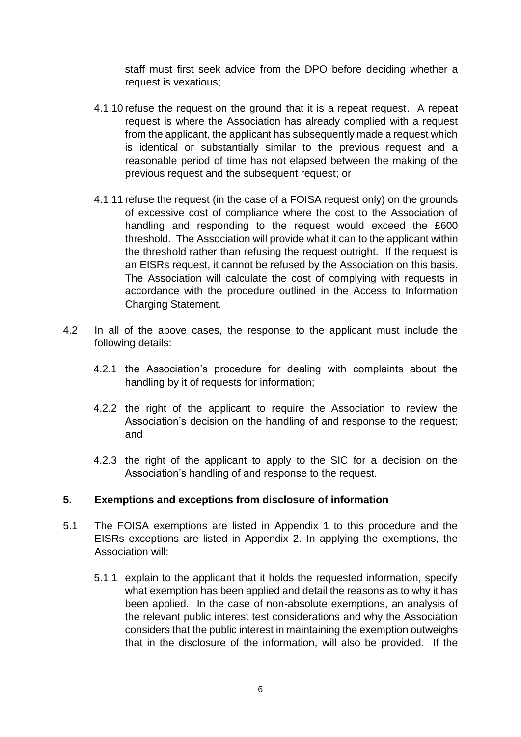staff must first seek advice from the DPO before deciding whether a request is vexatious;

- 4.1.10 refuse the request on the ground that it is a repeat request. A repeat request is where the Association has already complied with a request from the applicant, the applicant has subsequently made a request which is identical or substantially similar to the previous request and a reasonable period of time has not elapsed between the making of the previous request and the subsequent request; or
- 4.1.11 refuse the request (in the case of a FOISA request only) on the grounds of excessive cost of compliance where the cost to the Association of handling and responding to the request would exceed the £600 threshold. The Association will provide what it can to the applicant within the threshold rather than refusing the request outright. If the request is an EISRs request, it cannot be refused by the Association on this basis. The Association will calculate the cost of complying with requests in accordance with the procedure outlined in the Access to Information Charging Statement.
- 4.2 In all of the above cases, the response to the applicant must include the following details:
	- 4.2.1 the Association's procedure for dealing with complaints about the handling by it of requests for information;
	- 4.2.2 the right of the applicant to require the Association to review the Association's decision on the handling of and response to the request; and
	- 4.2.3 the right of the applicant to apply to the SIC for a decision on the Association's handling of and response to the request.

### **5. Exemptions and exceptions from disclosure of information**

- 5.1 The FOISA exemptions are listed in Appendix 1 to this procedure and the EISRs exceptions are listed in Appendix 2. In applying the exemptions, the Association will:
	- 5.1.1 explain to the applicant that it holds the requested information, specify what exemption has been applied and detail the reasons as to why it has been applied. In the case of non-absolute exemptions, an analysis of the relevant public interest test considerations and why the Association considers that the public interest in maintaining the exemption outweighs that in the disclosure of the information, will also be provided. If the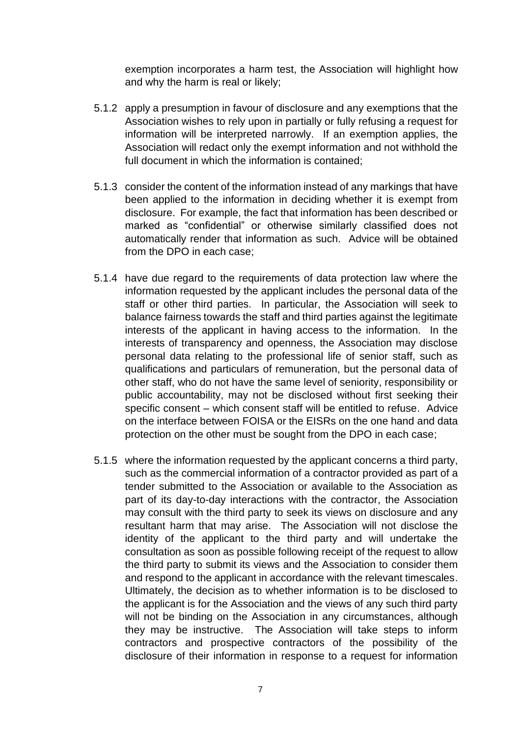exemption incorporates a harm test, the Association will highlight how and why the harm is real or likely;

- 5.1.2 apply a presumption in favour of disclosure and any exemptions that the Association wishes to rely upon in partially or fully refusing a request for information will be interpreted narrowly. If an exemption applies, the Association will redact only the exempt information and not withhold the full document in which the information is contained;
- 5.1.3 consider the content of the information instead of any markings that have been applied to the information in deciding whether it is exempt from disclosure. For example, the fact that information has been described or marked as "confidential" or otherwise similarly classified does not automatically render that information as such. Advice will be obtained from the DPO in each case;
- 5.1.4 have due regard to the requirements of data protection law where the information requested by the applicant includes the personal data of the staff or other third parties. In particular, the Association will seek to balance fairness towards the staff and third parties against the legitimate interests of the applicant in having access to the information. In the interests of transparency and openness, the Association may disclose personal data relating to the professional life of senior staff, such as qualifications and particulars of remuneration, but the personal data of other staff, who do not have the same level of seniority, responsibility or public accountability, may not be disclosed without first seeking their specific consent – which consent staff will be entitled to refuse. Advice on the interface between FOISA or the EISRs on the one hand and data protection on the other must be sought from the DPO in each case;
- 5.1.5 where the information requested by the applicant concerns a third party, such as the commercial information of a contractor provided as part of a tender submitted to the Association or available to the Association as part of its day-to-day interactions with the contractor, the Association may consult with the third party to seek its views on disclosure and any resultant harm that may arise. The Association will not disclose the identity of the applicant to the third party and will undertake the consultation as soon as possible following receipt of the request to allow the third party to submit its views and the Association to consider them and respond to the applicant in accordance with the relevant timescales. Ultimately, the decision as to whether information is to be disclosed to the applicant is for the Association and the views of any such third party will not be binding on the Association in any circumstances, although they may be instructive. The Association will take steps to inform contractors and prospective contractors of the possibility of the disclosure of their information in response to a request for information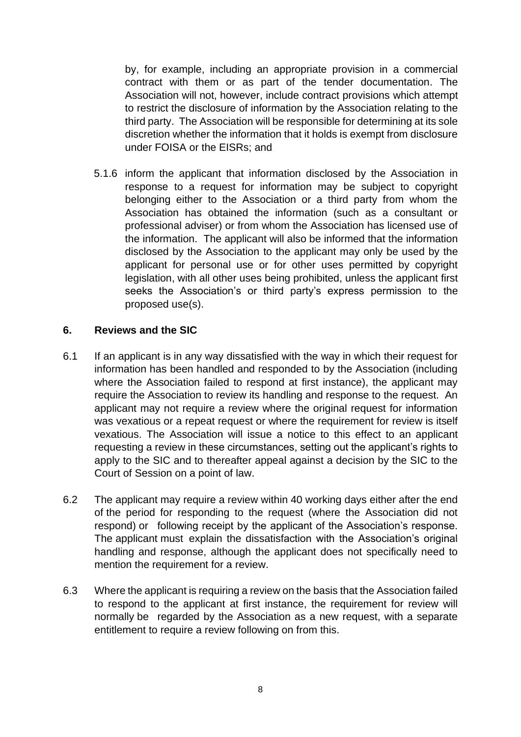by, for example, including an appropriate provision in a commercial contract with them or as part of the tender documentation. The Association will not, however, include contract provisions which attempt to restrict the disclosure of information by the Association relating to the third party. The Association will be responsible for determining at its sole discretion whether the information that it holds is exempt from disclosure under FOISA or the EISRs; and

5.1.6 inform the applicant that information disclosed by the Association in response to a request for information may be subject to copyright belonging either to the Association or a third party from whom the Association has obtained the information (such as a consultant or professional adviser) or from whom the Association has licensed use of the information. The applicant will also be informed that the information disclosed by the Association to the applicant may only be used by the applicant for personal use or for other uses permitted by copyright legislation, with all other uses being prohibited, unless the applicant first seeks the Association's or third party's express permission to the proposed use(s).

## **6. Reviews and the SIC**

- 6.1 If an applicant is in any way dissatisfied with the way in which their request for information has been handled and responded to by the Association (including where the Association failed to respond at first instance), the applicant may require the Association to review its handling and response to the request. An applicant may not require a review where the original request for information was vexatious or a repeat request or where the requirement for review is itself vexatious. The Association will issue a notice to this effect to an applicant requesting a review in these circumstances, setting out the applicant's rights to apply to the SIC and to thereafter appeal against a decision by the SIC to the Court of Session on a point of law.
- 6.2 The applicant may require a review within 40 working days either after the end of the period for responding to the request (where the Association did not respond) or following receipt by the applicant of the Association's response. The applicant must explain the dissatisfaction with the Association's original handling and response, although the applicant does not specifically need to mention the requirement for a review.
- 6.3 Where the applicant is requiring a review on the basis that the Association failed to respond to the applicant at first instance, the requirement for review will normally be regarded by the Association as a new request, with a separate entitlement to require a review following on from this.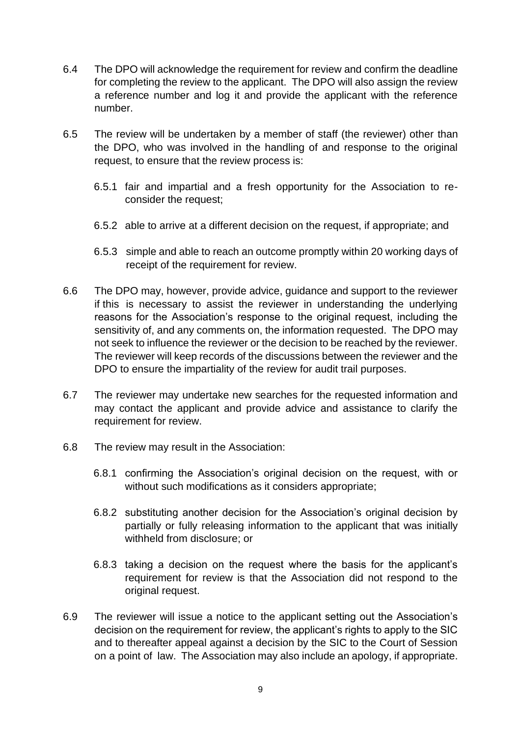- 6.4 The DPO will acknowledge the requirement for review and confirm the deadline for completing the review to the applicant. The DPO will also assign the review a reference number and log it and provide the applicant with the reference number.
- 6.5 The review will be undertaken by a member of staff (the reviewer) other than the DPO, who was involved in the handling of and response to the original request, to ensure that the review process is:
	- 6.5.1 fair and impartial and a fresh opportunity for the Association to reconsider the request;
	- 6.5.2 able to arrive at a different decision on the request, if appropriate; and
	- 6.5.3 simple and able to reach an outcome promptly within 20 working days of receipt of the requirement for review.
- 6.6 The DPO may, however, provide advice, guidance and support to the reviewer if this is necessary to assist the reviewer in understanding the underlying reasons for the Association's response to the original request, including the sensitivity of, and any comments on, the information requested. The DPO may not seek to influence the reviewer or the decision to be reached by the reviewer. The reviewer will keep records of the discussions between the reviewer and the DPO to ensure the impartiality of the review for audit trail purposes.
- 6.7 The reviewer may undertake new searches for the requested information and may contact the applicant and provide advice and assistance to clarify the requirement for review.
- 6.8 The review may result in the Association:
	- 6.8.1 confirming the Association's original decision on the request, with or without such modifications as it considers appropriate;
	- 6.8.2 substituting another decision for the Association's original decision by partially or fully releasing information to the applicant that was initially withheld from disclosure; or
	- 6.8.3 taking a decision on the request where the basis for the applicant's requirement for review is that the Association did not respond to the original request.
- 6.9 The reviewer will issue a notice to the applicant setting out the Association's decision on the requirement for review, the applicant's rights to apply to the SIC and to thereafter appeal against a decision by the SIC to the Court of Session on a point of law. The Association may also include an apology, if appropriate.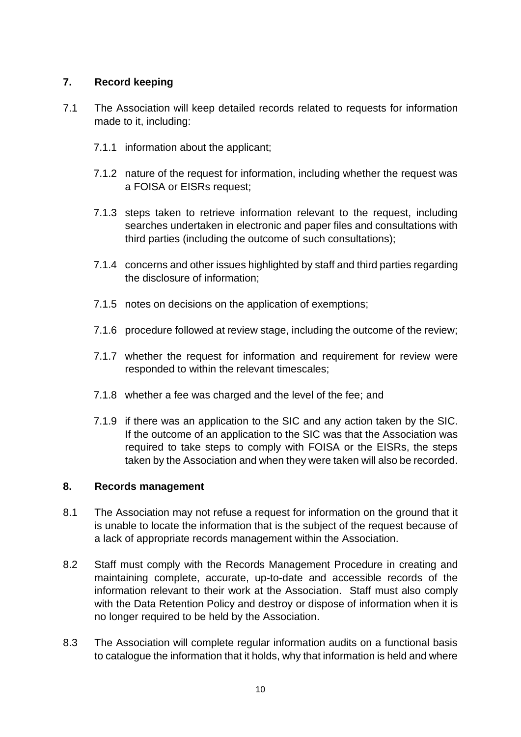# **7. Record keeping**

- 7.1 The Association will keep detailed records related to requests for information made to it, including:
	- 7.1.1 information about the applicant;
	- 7.1.2 nature of the request for information, including whether the request was a FOISA or EISRs request;
	- 7.1.3 steps taken to retrieve information relevant to the request, including searches undertaken in electronic and paper files and consultations with third parties (including the outcome of such consultations);
	- 7.1.4 concerns and other issues highlighted by staff and third parties regarding the disclosure of information;
	- 7.1.5 notes on decisions on the application of exemptions;
	- 7.1.6 procedure followed at review stage, including the outcome of the review;
	- 7.1.7 whether the request for information and requirement for review were responded to within the relevant timescales;
	- 7.1.8 whether a fee was charged and the level of the fee; and
	- 7.1.9 if there was an application to the SIC and any action taken by the SIC. If the outcome of an application to the SIC was that the Association was required to take steps to comply with FOISA or the EISRs, the steps taken by the Association and when they were taken will also be recorded.

### **8. Records management**

- 8.1 The Association may not refuse a request for information on the ground that it is unable to locate the information that is the subject of the request because of a lack of appropriate records management within the Association.
- 8.2 Staff must comply with the Records Management Procedure in creating and maintaining complete, accurate, up-to-date and accessible records of the information relevant to their work at the Association. Staff must also comply with the Data Retention Policy and destroy or dispose of information when it is no longer required to be held by the Association.
- 8.3 The Association will complete regular information audits on a functional basis to catalogue the information that it holds, why that information is held and where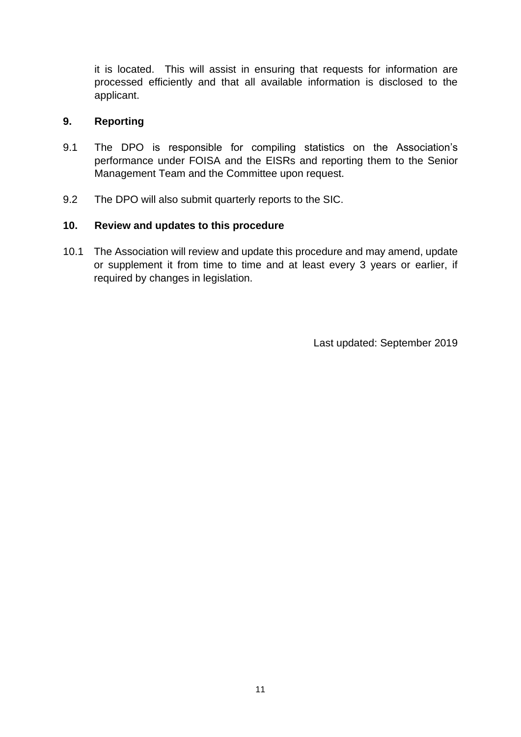it is located. This will assist in ensuring that requests for information are processed efficiently and that all available information is disclosed to the applicant.

### **9. Reporting**

- 9.1 The DPO is responsible for compiling statistics on the Association's performance under FOISA and the EISRs and reporting them to the Senior Management Team and the Committee upon request.
- 9.2 The DPO will also submit quarterly reports to the SIC.

## **10. Review and updates to this procedure**

10.1 The Association will review and update this procedure and may amend, update or supplement it from time to time and at least every 3 years or earlier, if required by changes in legislation.

Last updated: September 2019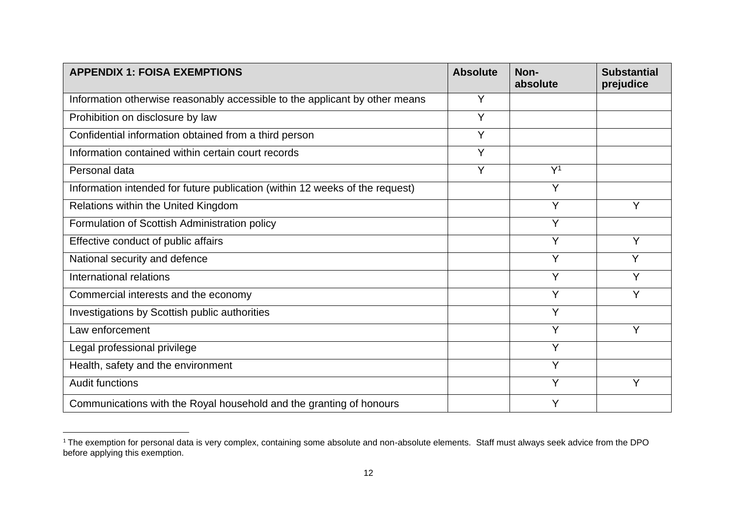| <b>APPENDIX 1: FOISA EXEMPTIONS</b>                                          | <b>Absolute</b> | Non-<br>absolute | <b>Substantial</b><br>prejudice |
|------------------------------------------------------------------------------|-----------------|------------------|---------------------------------|
| Information otherwise reasonably accessible to the applicant by other means  | Y               |                  |                                 |
| Prohibition on disclosure by law                                             | Y               |                  |                                 |
| Confidential information obtained from a third person                        | Υ               |                  |                                 |
| Information contained within certain court records                           | Y               |                  |                                 |
| Personal data                                                                | Y               | Y <sup>1</sup>   |                                 |
| Information intended for future publication (within 12 weeks of the request) |                 | Y                |                                 |
| Relations within the United Kingdom                                          |                 | Y                | Y                               |
| Formulation of Scottish Administration policy                                |                 | Y                |                                 |
| Effective conduct of public affairs                                          |                 | Y                | Y                               |
| National security and defence                                                |                 | Y                | Y                               |
| International relations                                                      |                 | Y                | Y                               |
| Commercial interests and the economy                                         |                 | Y                | Y                               |
| Investigations by Scottish public authorities                                |                 | Y                |                                 |
| Law enforcement                                                              |                 | Y                | Y                               |
| Legal professional privilege                                                 |                 | Y                |                                 |
| Health, safety and the environment                                           |                 | Y                |                                 |
| <b>Audit functions</b>                                                       |                 | Y                | Y                               |
| Communications with the Royal household and the granting of honours          |                 | Y                |                                 |

 $^1$ The exemption for personal data is very complex, containing some absolute and non-absolute elements. Staff must always seek advice from the DPO before applying this exemption.